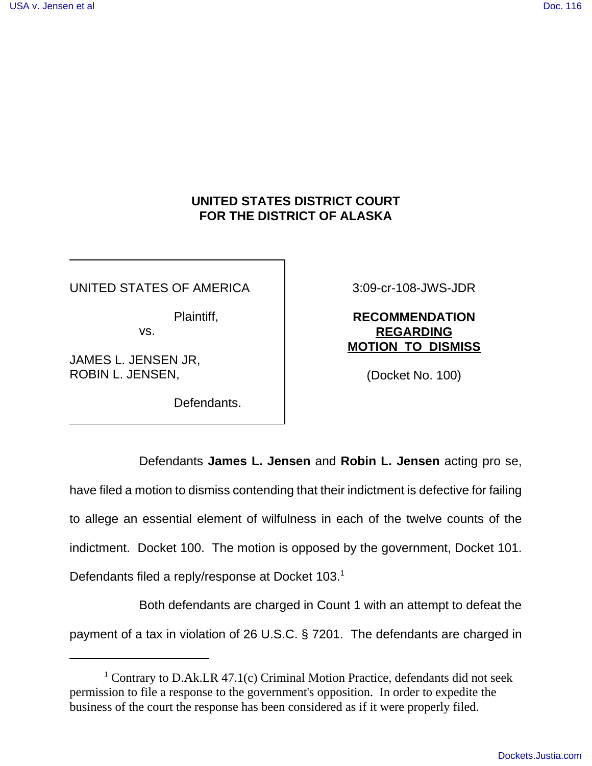## **UNITED STATES DISTRICT COURT FOR THE DISTRICT OF ALASKA**

UNITED STATES OF AMERICA

Plaintiff,

vs.

JAMES L. JENSEN JR, ROBIN L. JENSEN,

Defendants.

3:09-cr-108-JWS-JDR

## **RECOMMENDATION REGARDING MOTION TO DISMISS**

(Docket No. 100)

Defendants **James L. Jensen** and **Robin L. Jensen** acting pro se, have filed a motion to dismiss contending that their indictment is defective for failing to allege an essential element of wilfulness in each of the twelve counts of the indictment. Docket 100. The motion is opposed by the government, Docket 101. Defendants filed a reply/response at Docket 103. $<sup>1</sup>$ </sup>

Both defendants are charged in Count 1 with an attempt to defeat the payment of a tax in violation of 26 U.S.C. § 7201. The defendants are charged in

<sup>&</sup>lt;sup>1</sup> Contrary to D.Ak.LR 47.1(c) Criminal Motion Practice, defendants did not seek permission to file a response to the government's opposition. In order to expedite the business of the court the response has been considered as if it were properly filed.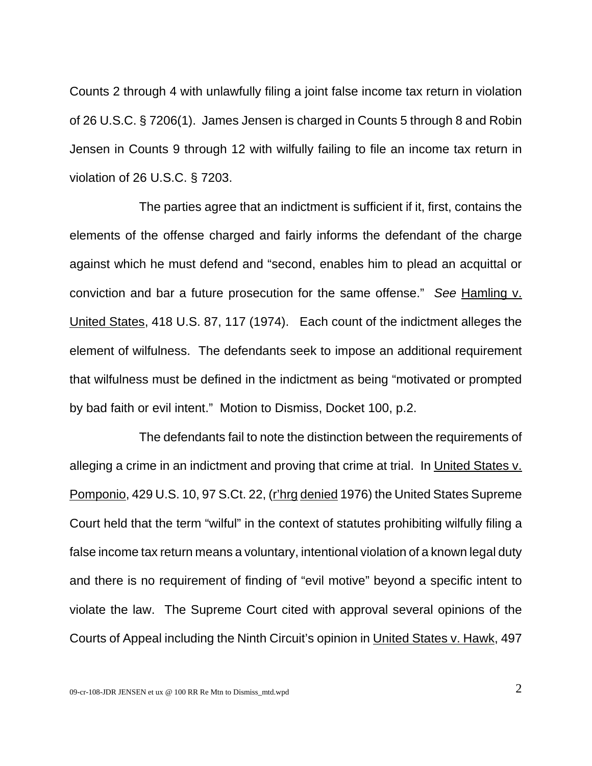Counts 2 through 4 with unlawfully filing a joint false income tax return in violation of 26 U.S.C. § 7206(1). James Jensen is charged in Counts 5 through 8 and Robin Jensen in Counts 9 through 12 with wilfully failing to file an income tax return in violation of 26 U.S.C. § 7203.

The parties agree that an indictment is sufficient if it, first, contains the elements of the offense charged and fairly informs the defendant of the charge against which he must defend and "second, enables him to plead an acquittal or conviction and bar a future prosecution for the same offense." *See* Hamling v. United States, 418 U.S. 87, 117 (1974). Each count of the indictment alleges the element of wilfulness. The defendants seek to impose an additional requirement that wilfulness must be defined in the indictment as being "motivated or prompted by bad faith or evil intent." Motion to Dismiss, Docket 100, p.2.

The defendants fail to note the distinction between the requirements of alleging a crime in an indictment and proving that crime at trial. In United States v. Pomponio, 429 U.S. 10, 97 S.Ct. 22, (r'hrg denied 1976) the United States Supreme Court held that the term "wilful" in the context of statutes prohibiting wilfully filing a false income tax return means a voluntary, intentional violation of a known legal duty and there is no requirement of finding of "evil motive" beyond a specific intent to violate the law. The Supreme Court cited with approval several opinions of the Courts of Appeal including the Ninth Circuit's opinion in United States v. Hawk, 497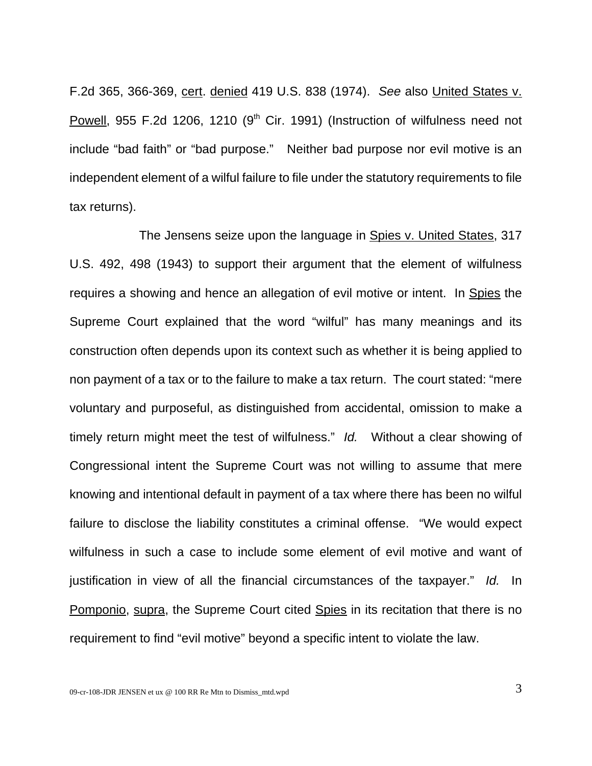F.2d 365, 366-369, cert. denied 419 U.S. 838 (1974). *See* also United States v. Powell, 955 F.2d 1206, 1210 ( $9<sup>th</sup>$  Cir. 1991) (Instruction of wilfulness need not include "bad faith" or "bad purpose." Neither bad purpose nor evil motive is an independent element of a wilful failure to file under the statutory requirements to file tax returns).

The Jensens seize upon the language in Spies v. United States, 317 U.S. 492, 498 (1943) to support their argument that the element of wilfulness requires a showing and hence an allegation of evil motive or intent. In Spies the Supreme Court explained that the word "wilful" has many meanings and its construction often depends upon its context such as whether it is being applied to non payment of a tax or to the failure to make a tax return. The court stated: "mere voluntary and purposeful, as distinguished from accidental, omission to make a timely return might meet the test of wilfulness." *Id.* Without a clear showing of Congressional intent the Supreme Court was not willing to assume that mere knowing and intentional default in payment of a tax where there has been no wilful failure to disclose the liability constitutes a criminal offense. "We would expect wilfulness in such a case to include some element of evil motive and want of justification in view of all the financial circumstances of the taxpayer." *Id.* In Pomponio, supra, the Supreme Court cited Spies in its recitation that there is no requirement to find "evil motive" beyond a specific intent to violate the law.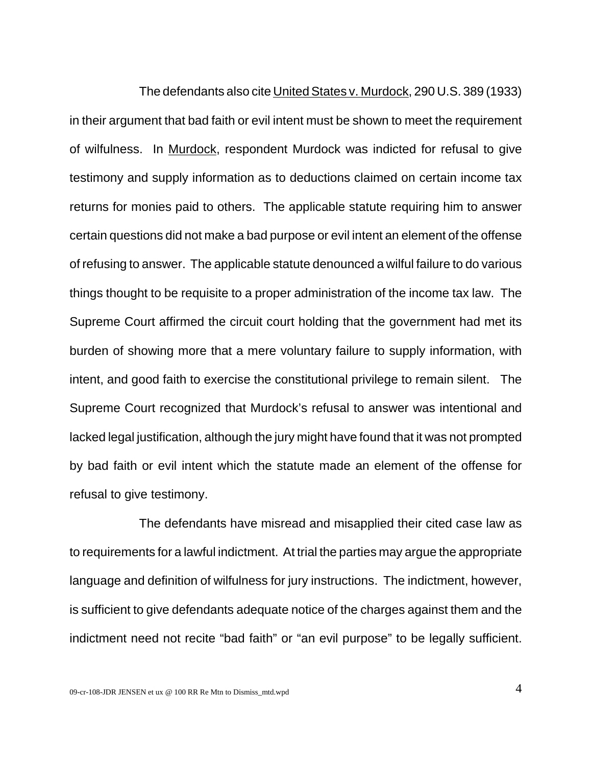The defendants also cite United States v. Murdock, 290 U.S. 389 (1933) in their argument that bad faith or evil intent must be shown to meet the requirement of wilfulness. In Murdock, respondent Murdock was indicted for refusal to give testimony and supply information as to deductions claimed on certain income tax returns for monies paid to others. The applicable statute requiring him to answer certain questions did not make a bad purpose or evil intent an element of the offense of refusing to answer. The applicable statute denounced a wilful failure to do various things thought to be requisite to a proper administration of the income tax law. The Supreme Court affirmed the circuit court holding that the government had met its burden of showing more that a mere voluntary failure to supply information, with intent, and good faith to exercise the constitutional privilege to remain silent. The Supreme Court recognized that Murdock's refusal to answer was intentional and lacked legal justification, although the jury might have found that it was not prompted by bad faith or evil intent which the statute made an element of the offense for refusal to give testimony.

The defendants have misread and misapplied their cited case law as to requirements for a lawful indictment. At trial the parties may argue the appropriate language and definition of wilfulness for jury instructions. The indictment, however, is sufficient to give defendants adequate notice of the charges against them and the indictment need not recite "bad faith" or "an evil purpose" to be legally sufficient.